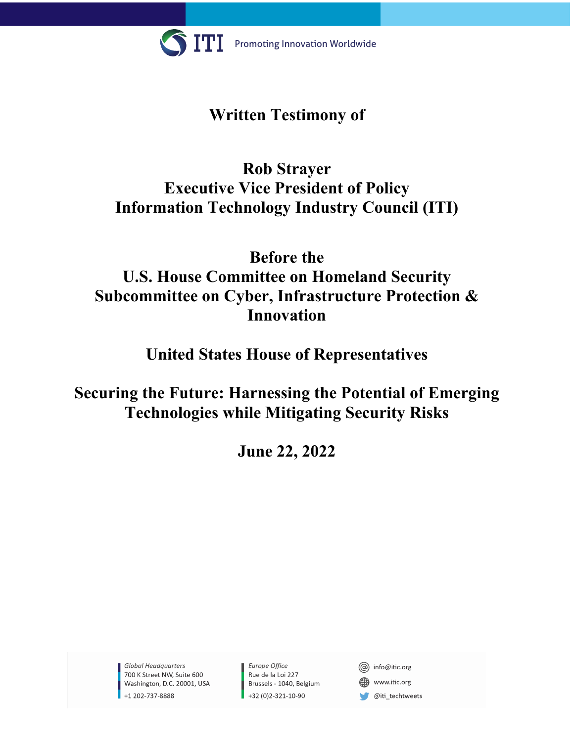

# **Written Testimony of**

# **Rob Strayer Executive Vice President of Policy Information Technology Industry Council (ITI)**

# **Before the U.S. House Committee on Homeland Security Subcommittee on Cyber, Infrastructure Protection & Innovation**

# **United States House of Representatives**

**Securing the Future: Harnessing the Potential of Emerging Technologies while Mitigating Security Risks**

**June 22, 2022**

Global Headquarters 700 K Street NW, Suite 600 Washington, D.C. 20001, USA +1 202-737-8888

Europe Office Rue de la Loi 227 Brussels - 1040, Belgium +32 (0)2-321-10-90

@ info@itic.org

www.itic.org

@iti\_techtweets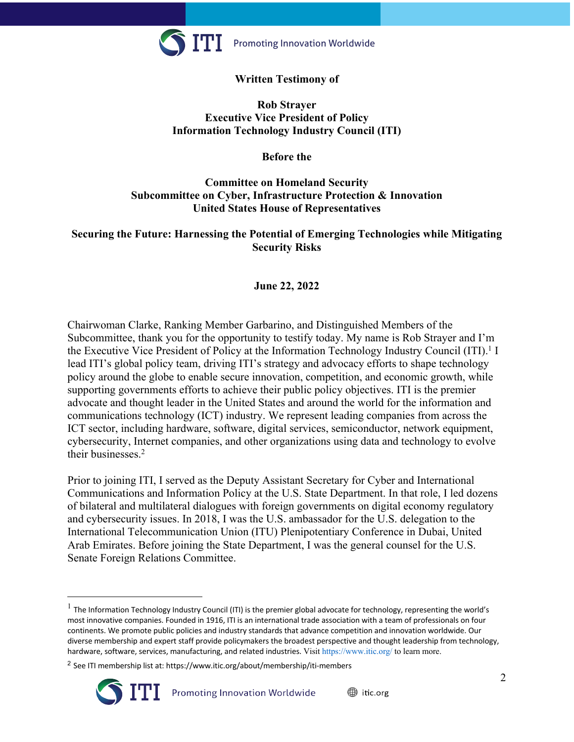

## **Written Testimony of**

#### **Rob Strayer Executive Vice President of Policy Information Technology Industry Council (ITI)**

**Before the**

## **Committee on Homeland Security Subcommittee on Cyber, Infrastructure Protection & Innovation United States House of Representatives**

## **Securing the Future: Harnessing the Potential of Emerging Technologies while Mitigating Security Risks**

## **June 22, 2022**

Chairwoman Clarke, Ranking Member Garbarino, and Distinguished Members of the Subcommittee, thank you for the opportunity to testify today. My name is Rob Strayer and I'm the Executive Vice President of Policy at the Information Technology Industry Council (ITI).<sup>1</sup> I lead ITI's global policy team, driving ITI's strategy and advocacy efforts to shape technology policy around the globe to enable secure innovation, competition, and economic growth, while supporting governments efforts to achieve their public policy objectives. ITI is the premier advocate and thought leader in the United States and around the world for the information and communications technology (ICT) industry. We represent leading companies from across the ICT sector, including hardware, software, digital services, semiconductor, network equipment, cybersecurity, Internet companies, and other organizations using data and technology to evolve their businesses.2

Prior to joining ITI, I served as the Deputy Assistant Secretary for Cyber and International Communications and Information Policy at the U.S. State Department. In that role, I led dozens of bilateral and multilateral dialogues with foreign governments on digital economy regulatory and cybersecurity issues. In 2018, I was the U.S. ambassador for the U.S. delegation to the International Telecommunication Union (ITU) Plenipotentiary Conference in Dubai, United Arab Emirates. Before joining the State Department, I was the general counsel for the U.S. Senate Foreign Relations Committee.

<sup>&</sup>lt;sup>2</sup> See ITI membership list at: https://www.itic.org/about/membership/iti-members



 $1$  The Information Technology Industry Council (ITI) is the premier global advocate for technology, representing the world's most innovative companies. Founded in 1916, ITI is an international trade association with a team of professionals on four continents. We promote public policies and industry standards that advance competition and innovation worldwide. Our diverse membership and expert staff provide policymakers the broadest perspective and thought leadership from technology, hardware, software, services, manufacturing, and related industries. Visit https://www.itic.org/ to learn more.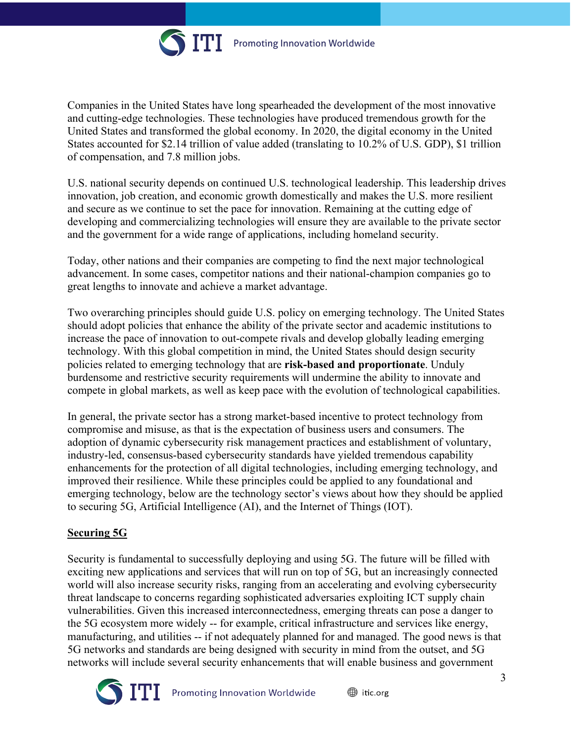

Companies in the United States have long spearheaded the development of the most innovative and cutting-edge technologies. These technologies have produced tremendous growth for the United States and transformed the global economy. In 2020, the digital economy in the United States accounted for \$2.14 trillion of value added (translating to 10.2% of U.S. GDP), \$1 trillion of compensation, and 7.8 million jobs.

U.S. national security depends on continued U.S. technological leadership. This leadership drives innovation, job creation, and economic growth domestically and makes the U.S. more resilient and secure as we continue to set the pace for innovation. Remaining at the cutting edge of developing and commercializing technologies will ensure they are available to the private sector and the government for a wide range of applications, including homeland security.

Today, other nations and their companies are competing to find the next major technological advancement. In some cases, competitor nations and their national-champion companies go to great lengths to innovate and achieve a market advantage.

Two overarching principles should guide U.S. policy on emerging technology. The United States should adopt policies that enhance the ability of the private sector and academic institutions to increase the pace of innovation to out-compete rivals and develop globally leading emerging technology. With this global competition in mind, the United States should design security policies related to emerging technology that are **risk-based and proportionate**. Unduly burdensome and restrictive security requirements will undermine the ability to innovate and compete in global markets, as well as keep pace with the evolution of technological capabilities.

In general, the private sector has a strong market-based incentive to protect technology from compromise and misuse, as that is the expectation of business users and consumers. The adoption of dynamic cybersecurity risk management practices and establishment of voluntary, industry-led, consensus-based cybersecurity standards have yielded tremendous capability enhancements for the protection of all digital technologies, including emerging technology, and improved their resilience. While these principles could be applied to any foundational and emerging technology, below are the technology sector's views about how they should be applied to securing 5G, Artificial Intelligence (AI), and the Internet of Things (IOT).

## **Securing 5G**

Security is fundamental to successfully deploying and using 5G. The future will be filled with exciting new applications and services that will run on top of 5G, but an increasingly connected world will also increase security risks, ranging from an accelerating and evolving cybersecurity threat landscape to concerns regarding sophisticated adversaries exploiting ICT supply chain vulnerabilities. Given this increased interconnectedness, emerging threats can pose a danger to the 5G ecosystem more widely -- for example, critical infrastructure and services like energy, manufacturing, and utilities -- if not adequately planned for and managed. The good news is that 5G networks and standards are being designed with security in mind from the outset, and 5G networks will include several security enhancements that will enable business and government

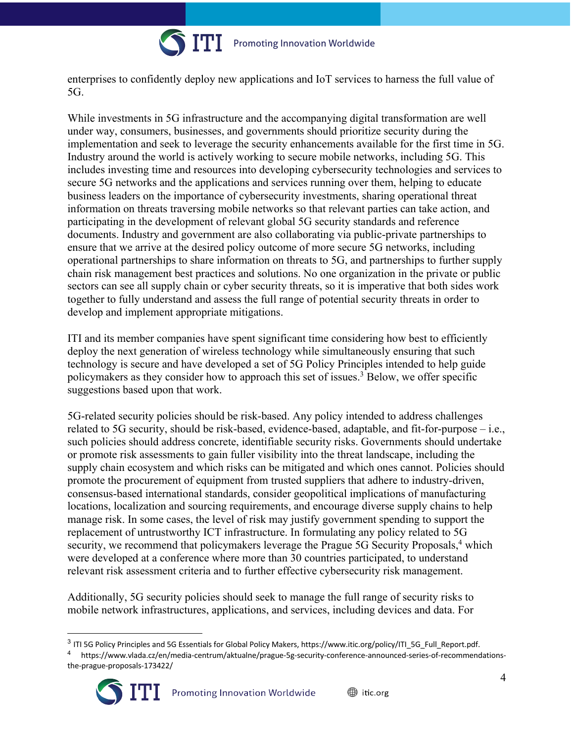

enterprises to confidently deploy new applications and IoT services to harness the full value of 5G.

While investments in 5G infrastructure and the accompanying digital transformation are well under way, consumers, businesses, and governments should prioritize security during the implementation and seek to leverage the security enhancements available for the first time in 5G. Industry around the world is actively working to secure mobile networks, including 5G. This includes investing time and resources into developing cybersecurity technologies and services to secure 5G networks and the applications and services running over them, helping to educate business leaders on the importance of cybersecurity investments, sharing operational threat information on threats traversing mobile networks so that relevant parties can take action, and participating in the development of relevant global 5G security standards and reference documents. Industry and government are also collaborating via public-private partnerships to ensure that we arrive at the desired policy outcome of more secure 5G networks, including operational partnerships to share information on threats to 5G, and partnerships to further supply chain risk management best practices and solutions. No one organization in the private or public sectors can see all supply chain or cyber security threats, so it is imperative that both sides work together to fully understand and assess the full range of potential security threats in order to develop and implement appropriate mitigations.

ITI and its member companies have spent significant time considering how best to efficiently deploy the next generation of wireless technology while simultaneously ensuring that such technology is secure and have developed a set of 5G Policy Principles intended to help guide policymakers as they consider how to approach this set of issues.3 Below, we offer specific suggestions based upon that work.

5G-related security policies should be risk-based. Any policy intended to address challenges related to 5G security, should be risk-based, evidence-based, adaptable, and fit-for-purpose – i.e., such policies should address concrete, identifiable security risks. Governments should undertake or promote risk assessments to gain fuller visibility into the threat landscape, including the supply chain ecosystem and which risks can be mitigated and which ones cannot. Policies should promote the procurement of equipment from trusted suppliers that adhere to industry-driven, consensus-based international standards, consider geopolitical implications of manufacturing locations, localization and sourcing requirements, and encourage diverse supply chains to help manage risk. In some cases, the level of risk may justify government spending to support the replacement of untrustworthy ICT infrastructure. In formulating any policy related to 5G security, we recommend that policymakers leverage the Prague 5G Security Proposals,<sup>4</sup> which were developed at a conference where more than 30 countries participated, to understand relevant risk assessment criteria and to further effective cybersecurity risk management.

Additionally, 5G security policies should seek to manage the full range of security risks to mobile network infrastructures, applications, and services, including devices and data. For

<sup>4</sup> https://www.vlada.cz/en/media-centrum/aktualne/prague-5g-security-conference-announced-series-of-recommendationsthe-prague-proposals-173422/



<sup>&</sup>lt;sup>3</sup> ITI 5G Policy Principles and 5G Essentials for Global Policy Makers, https://www.itic.org/policy/ITI\_5G\_Full\_Report.pdf.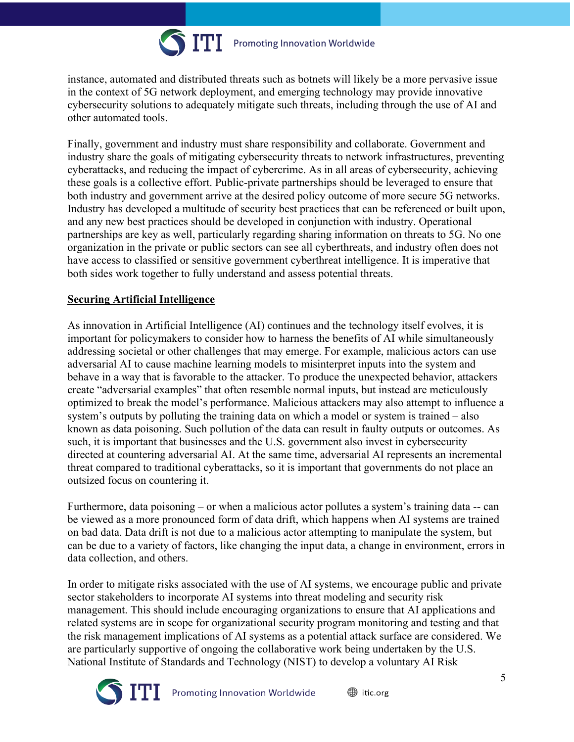

instance, automated and distributed threats such as botnets will likely be a more pervasive issue in the context of 5G network deployment, and emerging technology may provide innovative cybersecurity solutions to adequately mitigate such threats, including through the use of AI and other automated tools.

Finally, government and industry must share responsibility and collaborate. Government and industry share the goals of mitigating cybersecurity threats to network infrastructures, preventing cyberattacks, and reducing the impact of cybercrime. As in all areas of cybersecurity, achieving these goals is a collective effort. Public-private partnerships should be leveraged to ensure that both industry and government arrive at the desired policy outcome of more secure 5G networks. Industry has developed a multitude of security best practices that can be referenced or built upon, and any new best practices should be developed in conjunction with industry. Operational partnerships are key as well, particularly regarding sharing information on threats to 5G. No one organization in the private or public sectors can see all cyberthreats, and industry often does not have access to classified or sensitive government cyberthreat intelligence. It is imperative that both sides work together to fully understand and assess potential threats.

### **Securing Artificial Intelligence**

As innovation in Artificial Intelligence (AI) continues and the technology itself evolves, it is important for policymakers to consider how to harness the benefits of AI while simultaneously addressing societal or other challenges that may emerge. For example, malicious actors can use adversarial AI to cause machine learning models to misinterpret inputs into the system and behave in a way that is favorable to the attacker. To produce the unexpected behavior, attackers create "adversarial examples" that often resemble normal inputs, but instead are meticulously optimized to break the model's performance. Malicious attackers may also attempt to influence a system's outputs by polluting the training data on which a model or system is trained – also known as data poisoning. Such pollution of the data can result in faulty outputs or outcomes. As such, it is important that businesses and the U.S. government also invest in cybersecurity directed at countering adversarial AI. At the same time, adversarial AI represents an incremental threat compared to traditional cyberattacks, so it is important that governments do not place an outsized focus on countering it.

Furthermore, data poisoning – or when a malicious actor pollutes a system's training data -- can be viewed as a more pronounced form of data drift, which happens when AI systems are trained on bad data. Data drift is not due to a malicious actor attempting to manipulate the system, but can be due to a variety of factors, like changing the input data, a change in environment, errors in data collection, and others.

In order to mitigate risks associated with the use of AI systems, we encourage public and private sector stakeholders to incorporate AI systems into threat modeling and security risk management. This should include encouraging organizations to ensure that AI applications and related systems are in scope for organizational security program monitoring and testing and that the risk management implications of AI systems as a potential attack surface are considered. We are particularly supportive of ongoing the collaborative work being undertaken by the U.S. National Institute of Standards and Technology (NIST) to develop a voluntary AI Risk

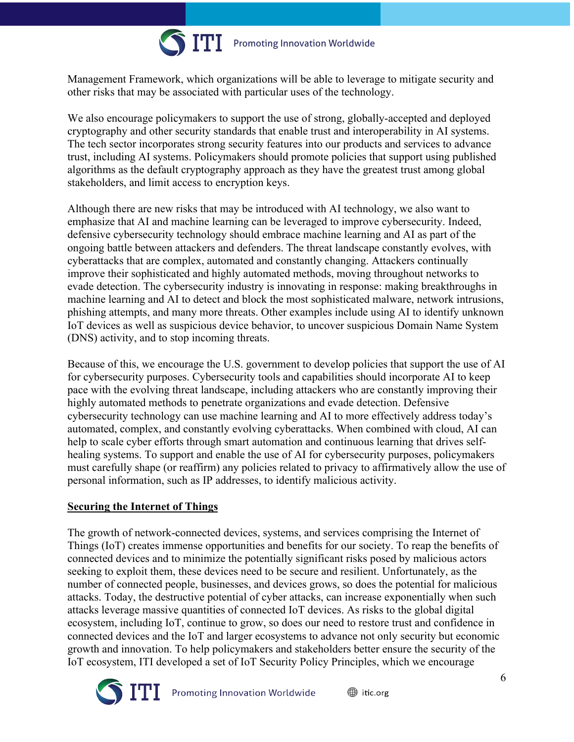

Management Framework, which organizations will be able to leverage to mitigate security and other risks that may be associated with particular uses of the technology.

We also encourage policymakers to support the use of strong, globally-accepted and deployed cryptography and other security standards that enable trust and interoperability in AI systems. The tech sector incorporates strong security features into our products and services to advance trust, including AI systems. Policymakers should promote policies that support using published algorithms as the default cryptography approach as they have the greatest trust among global stakeholders, and limit access to encryption keys.

Although there are new risks that may be introduced with AI technology, we also want to emphasize that AI and machine learning can be leveraged to improve cybersecurity. Indeed, defensive cybersecurity technology should embrace machine learning and AI as part of the ongoing battle between attackers and defenders. The threat landscape constantly evolves, with cyberattacks that are complex, automated and constantly changing. Attackers continually improve their sophisticated and highly automated methods, moving throughout networks to evade detection. The cybersecurity industry is innovating in response: making breakthroughs in machine learning and AI to detect and block the most sophisticated malware, network intrusions, phishing attempts, and many more threats. Other examples include using AI to identify unknown IoT devices as well as suspicious device behavior, to uncover suspicious Domain Name System (DNS) activity, and to stop incoming threats.

Because of this, we encourage the U.S. government to develop policies that support the use of AI for cybersecurity purposes. Cybersecurity tools and capabilities should incorporate AI to keep pace with the evolving threat landscape, including attackers who are constantly improving their highly automated methods to penetrate organizations and evade detection. Defensive cybersecurity technology can use machine learning and AI to more effectively address today's automated, complex, and constantly evolving cyberattacks. When combined with cloud, AI can help to scale cyber efforts through smart automation and continuous learning that drives selfhealing systems. To support and enable the use of AI for cybersecurity purposes, policymakers must carefully shape (or reaffirm) any policies related to privacy to affirmatively allow the use of personal information, such as IP addresses, to identify malicious activity.

## **Securing the Internet of Things**

The growth of network-connected devices, systems, and services comprising the Internet of Things (IoT) creates immense opportunities and benefits for our society. To reap the benefits of connected devices and to minimize the potentially significant risks posed by malicious actors seeking to exploit them, these devices need to be secure and resilient. Unfortunately, as the number of connected people, businesses, and devices grows, so does the potential for malicious attacks. Today, the destructive potential of cyber attacks, can increase exponentially when such attacks leverage massive quantities of connected IoT devices. As risks to the global digital ecosystem, including IoT, continue to grow, so does our need to restore trust and confidence in connected devices and the IoT and larger ecosystems to advance not only security but economic growth and innovation. To help policymakers and stakeholders better ensure the security of the IoT ecosystem, ITI developed a set of IoT Security Policy Principles, which we encourage

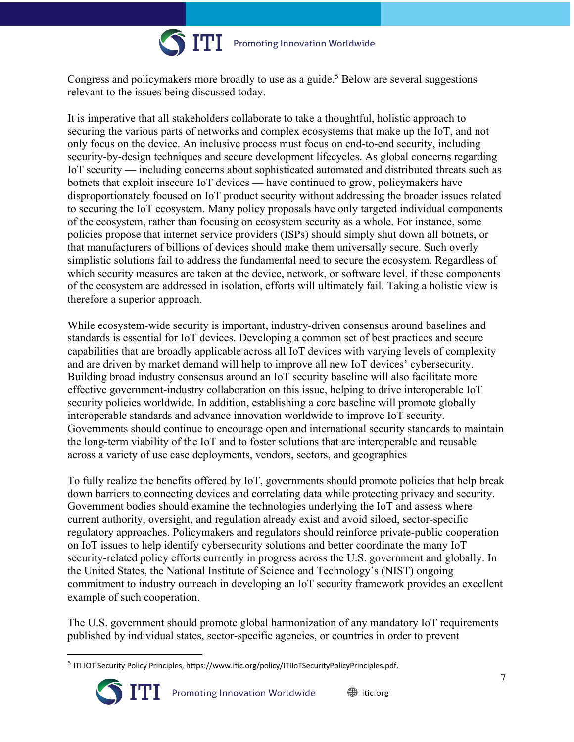

Congress and policymakers more broadly to use as a guide. <sup>5</sup> Below are several suggestions relevant to the issues being discussed today.

It is imperative that all stakeholders collaborate to take a thoughtful, holistic approach to securing the various parts of networks and complex ecosystems that make up the IoT, and not only focus on the device. An inclusive process must focus on end-to-end security, including security-by-design techniques and secure development lifecycles. As global concerns regarding IoT security — including concerns about sophisticated automated and distributed threats such as botnets that exploit insecure IoT devices — have continued to grow, policymakers have disproportionately focused on IoT product security without addressing the broader issues related to securing the IoT ecosystem. Many policy proposals have only targeted individual components of the ecosystem, rather than focusing on ecosystem security as a whole. For instance, some policies propose that internet service providers (ISPs) should simply shut down all botnets, or that manufacturers of billions of devices should make them universally secure. Such overly simplistic solutions fail to address the fundamental need to secure the ecosystem. Regardless of which security measures are taken at the device, network, or software level, if these components of the ecosystem are addressed in isolation, efforts will ultimately fail. Taking a holistic view is therefore a superior approach.

While ecosystem-wide security is important, industry-driven consensus around baselines and standards is essential for IoT devices. Developing a common set of best practices and secure capabilities that are broadly applicable across all IoT devices with varying levels of complexity and are driven by market demand will help to improve all new IoT devices' cybersecurity. Building broad industry consensus around an IoT security baseline will also facilitate more effective government-industry collaboration on this issue, helping to drive interoperable IoT security policies worldwide. In addition, establishing a core baseline will promote globally interoperable standards and advance innovation worldwide to improve IoT security. Governments should continue to encourage open and international security standards to maintain the long-term viability of the IoT and to foster solutions that are interoperable and reusable across a variety of use case deployments, vendors, sectors, and geographies

To fully realize the benefits offered by IoT, governments should promote policies that help break down barriers to connecting devices and correlating data while protecting privacy and security. Government bodies should examine the technologies underlying the IoT and assess where current authority, oversight, and regulation already exist and avoid siloed, sector-specific regulatory approaches. Policymakers and regulators should reinforce private-public cooperation on IoT issues to help identify cybersecurity solutions and better coordinate the many IoT security-related policy efforts currently in progress across the U.S. government and globally. In the United States, the National Institute of Science and Technology's (NIST) ongoing commitment to industry outreach in developing an IoT security framework provides an excellent example of such cooperation.

The U.S. government should promote global harmonization of any mandatory IoT requirements published by individual states, sector-specific agencies, or countries in order to prevent

<sup>5</sup> ITI IOT Security Policy Principles, https://www.itic.org/policy/ITIIoTSecurityPolicyPrinciples.pdf.

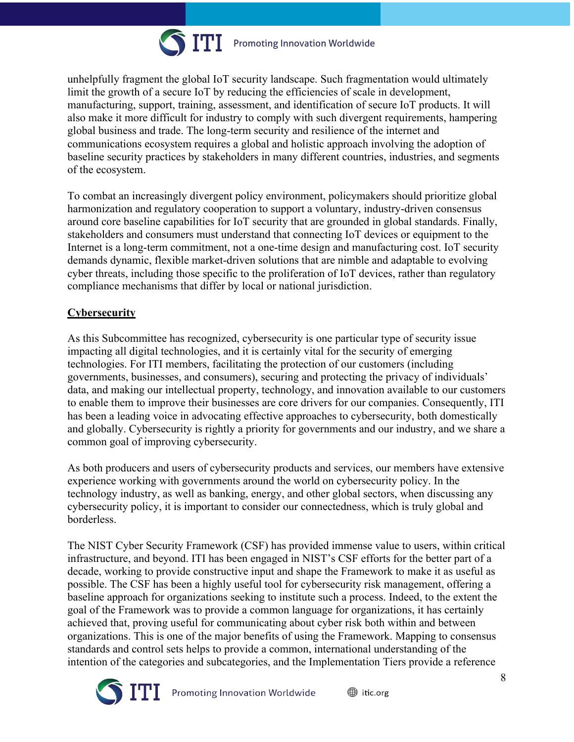

unhelpfully fragment the global IoT security landscape. Such fragmentation would ultimately limit the growth of a secure IoT by reducing the efficiencies of scale in development, manufacturing, support, training, assessment, and identification of secure IoT products. It will also make it more difficult for industry to comply with such divergent requirements, hampering global business and trade. The long-term security and resilience of the internet and communications ecosystem requires a global and holistic approach involving the adoption of baseline security practices by stakeholders in many different countries, industries, and segments of the ecosystem.

To combat an increasingly divergent policy environment, policymakers should prioritize global harmonization and regulatory cooperation to support a voluntary, industry-driven consensus around core baseline capabilities for IoT security that are grounded in global standards. Finally, stakeholders and consumers must understand that connecting IoT devices or equipment to the Internet is a long-term commitment, not a one-time design and manufacturing cost. IoT security demands dynamic, flexible market-driven solutions that are nimble and adaptable to evolving cyber threats, including those specific to the proliferation of IoT devices, rather than regulatory compliance mechanisms that differ by local or national jurisdiction.

## **Cybersecurity**

As this Subcommittee has recognized, cybersecurity is one particular type of security issue impacting all digital technologies, and it is certainly vital for the security of emerging technologies. For ITI members, facilitating the protection of our customers (including governments, businesses, and consumers), securing and protecting the privacy of individuals' data, and making our intellectual property, technology, and innovation available to our customers to enable them to improve their businesses are core drivers for our companies. Consequently, ITI has been a leading voice in advocating effective approaches to cybersecurity, both domestically and globally. Cybersecurity is rightly a priority for governments and our industry, and we share a common goal of improving cybersecurity.

As both producers and users of cybersecurity products and services, our members have extensive experience working with governments around the world on cybersecurity policy. In the technology industry, as well as banking, energy, and other global sectors, when discussing any cybersecurity policy, it is important to consider our connectedness, which is truly global and borderless.

The NIST Cyber Security Framework (CSF) has provided immense value to users, within critical infrastructure, and beyond. ITI has been engaged in NIST's CSF efforts for the better part of a decade, working to provide constructive input and shape the Framework to make it as useful as possible. The CSF has been a highly useful tool for cybersecurity risk management, offering a baseline approach for organizations seeking to institute such a process. Indeed, to the extent the goal of the Framework was to provide a common language for organizations, it has certainly achieved that, proving useful for communicating about cyber risk both within and between organizations. This is one of the major benefits of using the Framework. Mapping to consensus standards and control sets helps to provide a common, international understanding of the intention of the categories and subcategories, and the Implementation Tiers provide a reference

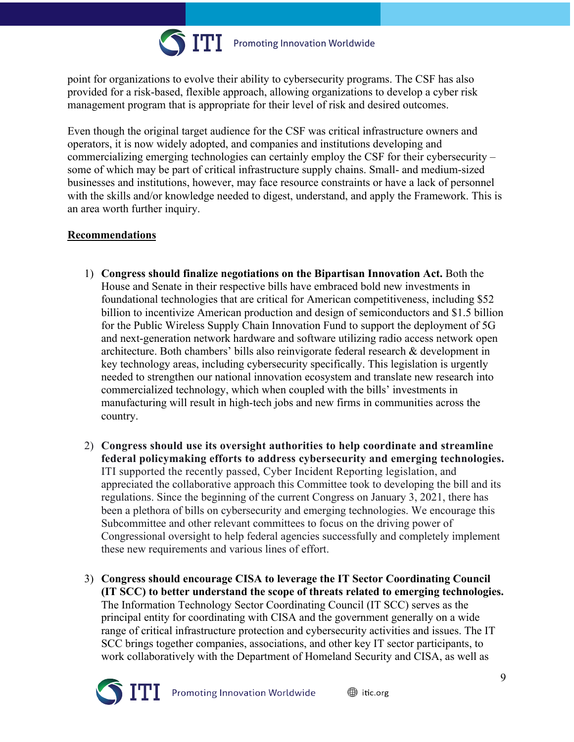

point for organizations to evolve their ability to cybersecurity programs. The CSF has also provided for a risk-based, flexible approach, allowing organizations to develop a cyber risk management program that is appropriate for their level of risk and desired outcomes.

Even though the original target audience for the CSF was critical infrastructure owners and operators, it is now widely adopted, and companies and institutions developing and commercializing emerging technologies can certainly employ the CSF for their cybersecurity – some of which may be part of critical infrastructure supply chains. Small- and medium-sized businesses and institutions, however, may face resource constraints or have a lack of personnel with the skills and/or knowledge needed to digest, understand, and apply the Framework. This is an area worth further inquiry.

### **Recommendations**

- 1) **Congress should finalize negotiations on the Bipartisan Innovation Act.** Both the House and Senate in their respective bills have embraced bold new investments in foundational technologies that are critical for American competitiveness, including \$52 billion to incentivize American production and design of semiconductors and \$1.5 billion for the Public Wireless Supply Chain Innovation Fund to support the deployment of 5G and next-generation network hardware and software utilizing radio access network open architecture. Both chambers' bills also reinvigorate federal research & development in key technology areas, including cybersecurity specifically. This legislation is urgently needed to strengthen our national innovation ecosystem and translate new research into commercialized technology, which when coupled with the bills' investments in manufacturing will result in high-tech jobs and new firms in communities across the country.
- 2) **Congress should use its oversight authorities to help coordinate and streamline federal policymaking efforts to address cybersecurity and emerging technologies.** ITI supported the recently passed, Cyber Incident Reporting legislation, and appreciated the collaborative approach this Committee took to developing the bill and its regulations. Since the beginning of the current Congress on January 3, 2021, there has been a plethora of bills on cybersecurity and emerging technologies. We encourage this Subcommittee and other relevant committees to focus on the driving power of Congressional oversight to help federal agencies successfully and completely implement these new requirements and various lines of effort.
- 3) **Congress should encourage CISA to leverage the IT Sector Coordinating Council (IT SCC) to better understand the scope of threats related to emerging technologies.** The Information Technology Sector Coordinating Council (IT SCC) serves as the principal entity for coordinating with CISA and the government generally on a wide range of critical infrastructure protection and cybersecurity activities and issues. The IT SCC brings together companies, associations, and other key IT sector participants, to work collaboratively with the Department of Homeland Security and CISA, as well as

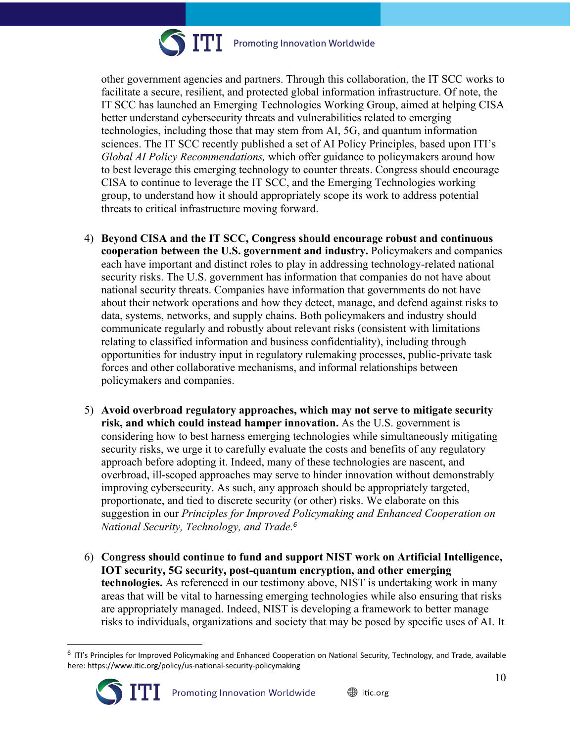

Promoting Innovation Worldwide

other government agencies and partners. Through this collaboration, the IT SCC works to facilitate a secure, resilient, and protected global information infrastructure. Of note, the IT SCC has launched an Emerging Technologies Working Group, aimed at helping CISA better understand cybersecurity threats and vulnerabilities related to emerging technologies, including those that may stem from AI, 5G, and quantum information sciences. The IT SCC recently published a set of AI Policy Principles, based upon ITI's *Global AI Policy Recommendations,* which offer guidance to policymakers around how to best leverage this emerging technology to counter threats. Congress should encourage CISA to continue to leverage the IT SCC, and the Emerging Technologies working group, to understand how it should appropriately scope its work to address potential threats to critical infrastructure moving forward.

- 4) **Beyond CISA and the IT SCC, Congress should encourage robust and continuous cooperation between the U.S. government and industry.** Policymakers and companies each have important and distinct roles to play in addressing technology-related national security risks. The U.S. government has information that companies do not have about national security threats. Companies have information that governments do not have about their network operations and how they detect, manage, and defend against risks to data, systems, networks, and supply chains. Both policymakers and industry should communicate regularly and robustly about relevant risks (consistent with limitations relating to classified information and business confidentiality), including through opportunities for industry input in regulatory rulemaking processes, public-private task forces and other collaborative mechanisms, and informal relationships between policymakers and companies.
- 5) **Avoid overbroad regulatory approaches, which may not serve to mitigate security risk, and which could instead hamper innovation.** As the U.S. government is considering how to best harness emerging technologies while simultaneously mitigating security risks, we urge it to carefully evaluate the costs and benefits of any regulatory approach before adopting it. Indeed, many of these technologies are nascent, and overbroad, ill-scoped approaches may serve to hinder innovation without demonstrably improving cybersecurity. As such, any approach should be appropriately targeted, proportionate, and tied to discrete security (or other) risks. We elaborate on this suggestion in our *Principles for Improved Policymaking and Enhanced Cooperation on National Security, Technology, and Trade.<sup>6</sup>*
- 6) **Congress should continue to fund and support NIST work on Artificial Intelligence, IOT security, 5G security, post-quantum encryption, and other emerging technologies.** As referenced in our testimony above, NIST is undertaking work in many areas that will be vital to harnessing emerging technologies while also ensuring that risks are appropriately managed. Indeed, NIST is developing a framework to better manage risks to individuals, organizations and society that may be posed by specific uses of AI. It

 $6$  ITI's Principles for Improved Policymaking and Enhanced Cooperation on National Security, Technology, and Trade, available here: https://www.itic.org/policy/us-national-security-policymaking